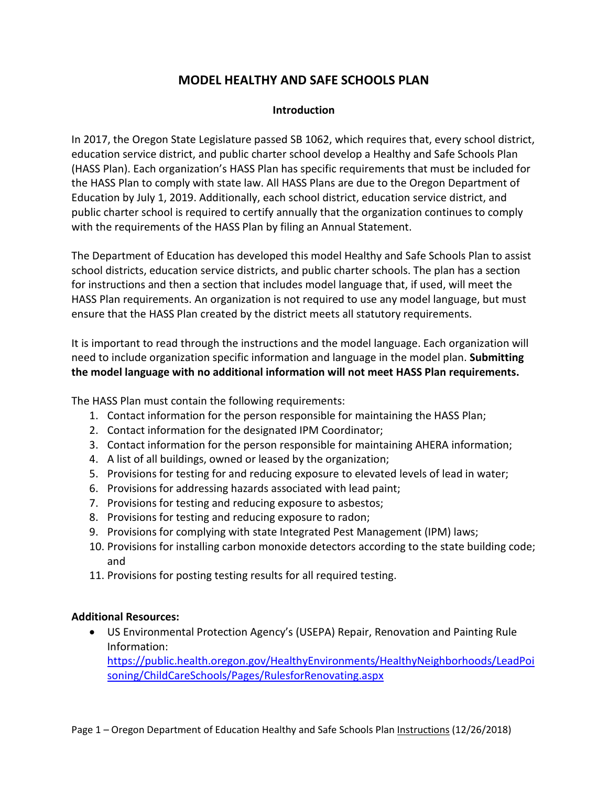# **MODEL HEALTHY AND SAFE SCHOOLS PLAN**

#### **Introduction**

In 2017, the Oregon State Legislature passed SB 1062, which requires that, every school district, education service district, and public charter school develop a Healthy and Safe Schools Plan (HASS Plan). Each organization's HASS Plan has specific requirements that must be included for the HASS Plan to comply with state law. All HASS Plans are due to the Oregon Department of Education by July 1, 2019. Additionally, each school district, education service district, and public charter school is required to certify annually that the organization continues to comply with the requirements of the HASS Plan by filing an Annual Statement.

The Department of Education has developed this model Healthy and Safe Schools Plan to assist school districts, education service districts, and public charter schools. The plan has a section for instructions and then a section that includes model language that, if used, will meet the HASS Plan requirements. An organization is not required to use any model language, but must ensure that the HASS Plan created by the district meets all statutory requirements.

It is important to read through the instructions and the model language. Each organization will need to include organization specific information and language in the model plan. **Submitting the model language with no additional information will not meet HASS Plan requirements.**

The HASS Plan must contain the following requirements:

- 1. Contact information for the person responsible for maintaining the HASS Plan;
- 2. Contact information for the designated IPM Coordinator;
- 3. Contact information for the person responsible for maintaining AHERA information;
- 4. A list of all buildings, owned or leased by the organization;
- 5. Provisions for testing for and reducing exposure to elevated levels of lead in water;
- 6. Provisions for addressing hazards associated with lead paint;
- 7. Provisions for testing and reducing exposure to asbestos;
- 8. Provisions for testing and reducing exposure to radon;
- 9. Provisions for complying with state Integrated Pest Management (IPM) laws;
- 10. Provisions for installing carbon monoxide detectors according to the state building code; and
- 11. Provisions for posting testing results for all required testing.

#### **Additional Resources:**

• US Environmental Protection Agency's (USEPA) Repair, Renovation and Painting Rule Information: [https://public.health.oregon.gov/HealthyEnvironments/HealthyNeighborhoods/LeadPoi](https://public.health.oregon.gov/HealthyEnvironments/HealthyNeighborhoods/LeadPoisoning/ChildCareSchools/Pages/RulesforRenovating.aspx)

[soning/ChildCareSchools/Pages/RulesforRenovating.aspx](https://public.health.oregon.gov/HealthyEnvironments/HealthyNeighborhoods/LeadPoisoning/ChildCareSchools/Pages/RulesforRenovating.aspx)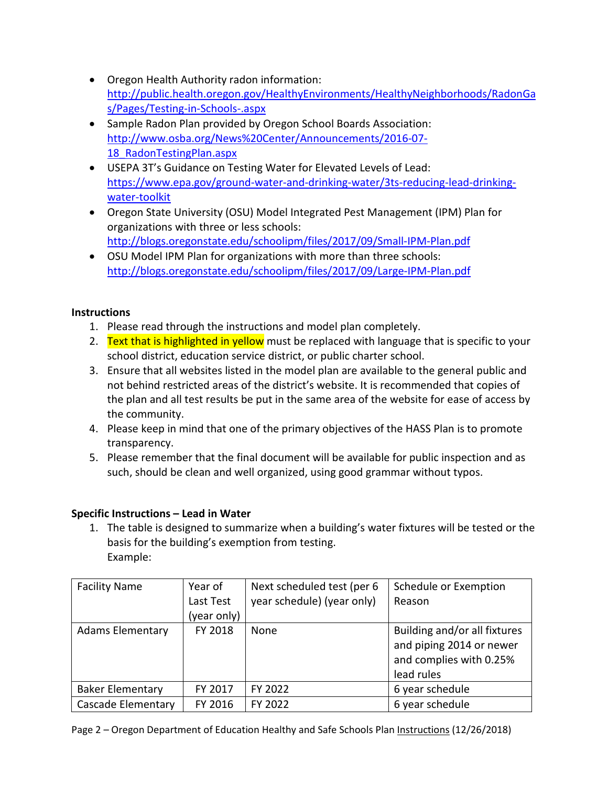- Oregon Health Authority radon information: [http://public.health.oregon.gov/HealthyEnvironments/HealthyNeighborhoods/RadonGa](http://public.health.oregon.gov/HealthyEnvironments/HealthyNeighborhoods/RadonGas/Pages/Testing-in-Schools-.aspx) [s/Pages/Testing-in-Schools-.aspx](http://public.health.oregon.gov/HealthyEnvironments/HealthyNeighborhoods/RadonGas/Pages/Testing-in-Schools-.aspx)
- Sample Radon Plan provided by Oregon School Boards Association: [http://www.osba.org/News%20Center/Announcements/2016-07-](http://www.osba.org/News%20Center/Announcements/2016-07-18_RadonTestingPlan.aspx) 18 RadonTestingPlan.aspx
- USEPA 3T's Guidance on Testing Water for Elevated Levels of Lead: [https://www.epa.gov/ground-water-and-drinking-water/3ts-reducing-lead-drinking](https://www.epa.gov/ground-water-and-drinking-water/3ts-reducing-lead-drinking-water-toolkit)[water-toolkit](https://www.epa.gov/ground-water-and-drinking-water/3ts-reducing-lead-drinking-water-toolkit)
- Oregon State University (OSU) Model Integrated Pest Management (IPM) Plan for organizations with three or less schools: <http://blogs.oregonstate.edu/schoolipm/files/2017/09/Small-IPM-Plan.pdf>
- OSU Model IPM Plan for organizations with more than three schools: <http://blogs.oregonstate.edu/schoolipm/files/2017/09/Large-IPM-Plan.pdf>

#### **Instructions**

- 1. Please read through the instructions and model plan completely.
- 2. Text that is highlighted in yellow must be replaced with language that is specific to your school district, education service district, or public charter school.
- 3. Ensure that all websites listed in the model plan are available to the general public and not behind restricted areas of the district's website. It is recommended that copies of the plan and all test results be put in the same area of the website for ease of access by the community.
- 4. Please keep in mind that one of the primary objectives of the HASS Plan is to promote transparency.
- 5. Please remember that the final document will be available for public inspection and as such, should be clean and well organized, using good grammar without typos.

# **Specific Instructions – Lead in Water**

1. The table is designed to summarize when a building's water fixtures will be tested or the basis for the building's exemption from testing. Example:

| <b>Facility Name</b>      | Year of     | Next scheduled test (per 6 | Schedule or Exemption                                                               |
|---------------------------|-------------|----------------------------|-------------------------------------------------------------------------------------|
|                           | Last Test   | year schedule) (year only) | Reason                                                                              |
|                           | (year only) |                            |                                                                                     |
| <b>Adams Elementary</b>   | FY 2018     | None                       | Building and/or all fixtures<br>and piping 2014 or newer<br>and complies with 0.25% |
|                           |             |                            | lead rules                                                                          |
| <b>Baker Elementary</b>   | FY 2017     | FY 2022                    | 6 year schedule                                                                     |
| <b>Cascade Elementary</b> | FY 2016     | FY 2022                    | 6 year schedule                                                                     |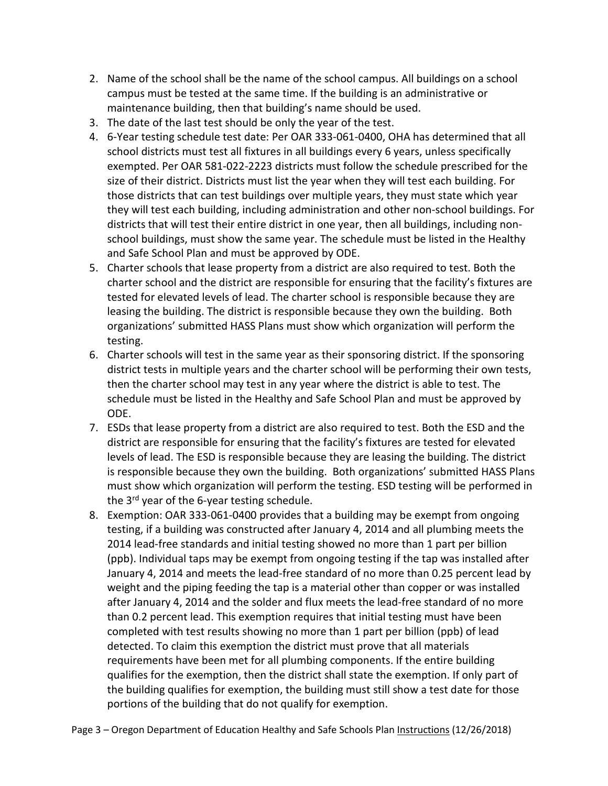- 2. Name of the school shall be the name of the school campus. All buildings on a school campus must be tested at the same time. If the building is an administrative or maintenance building, then that building's name should be used.
- 3. The date of the last test should be only the year of the test.
- 4. 6-Year testing schedule test date: Per OAR 333-061-0400, OHA has determined that all school districts must test all fixtures in all buildings every 6 years, unless specifically exempted. Per OAR 581-022-2223 districts must follow the schedule prescribed for the size of their district. Districts must list the year when they will test each building. For those districts that can test buildings over multiple years, they must state which year they will test each building, including administration and other non-school buildings. For districts that will test their entire district in one year, then all buildings, including nonschool buildings, must show the same year. The schedule must be listed in the Healthy and Safe School Plan and must be approved by ODE.
- 5. Charter schools that lease property from a district are also required to test. Both the charter school and the district are responsible for ensuring that the facility's fixtures are tested for elevated levels of lead. The charter school is responsible because they are leasing the building. The district is responsible because they own the building. Both organizations' submitted HASS Plans must show which organization will perform the testing.
- 6. Charter schools will test in the same year as their sponsoring district. If the sponsoring district tests in multiple years and the charter school will be performing their own tests, then the charter school may test in any year where the district is able to test. The schedule must be listed in the Healthy and Safe School Plan and must be approved by ODE.
- 7. ESDs that lease property from a district are also required to test. Both the ESD and the district are responsible for ensuring that the facility's fixtures are tested for elevated levels of lead. The ESD is responsible because they are leasing the building. The district is responsible because they own the building. Both organizations' submitted HASS Plans must show which organization will perform the testing. ESD testing will be performed in the 3<sup>rd</sup> year of the 6-year testing schedule.
- 8. Exemption: OAR 333-061-0400 provides that a building may be exempt from ongoing testing, if a building was constructed after January 4, 2014 and all plumbing meets the 2014 lead-free standards and initial testing showed no more than 1 part per billion (ppb). Individual taps may be exempt from ongoing testing if the tap was installed after January 4, 2014 and meets the lead-free standard of no more than 0.25 percent lead by weight and the piping feeding the tap is a material other than copper or was installed after January 4, 2014 and the solder and flux meets the lead-free standard of no more than 0.2 percent lead. This exemption requires that initial testing must have been completed with test results showing no more than 1 part per billion (ppb) of lead detected. To claim this exemption the district must prove that all materials requirements have been met for all plumbing components. If the entire building qualifies for the exemption, then the district shall state the exemption. If only part of the building qualifies for exemption, the building must still show a test date for those portions of the building that do not qualify for exemption.
- Page 3 Oregon Department of Education Healthy and Safe Schools Plan Instructions (12/26/2018)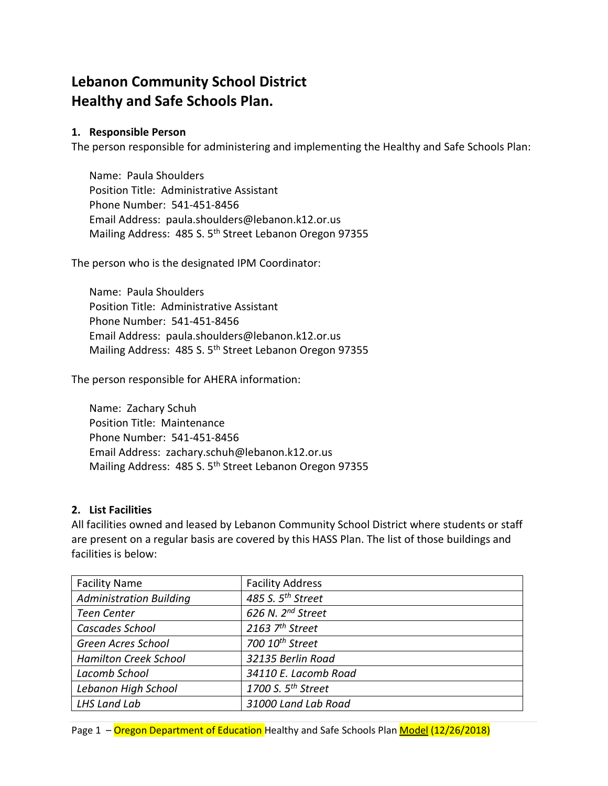# **Lebanon Community School District Healthy and Safe Schools Plan.**

#### **1. Responsible Person**

The person responsible for administering and implementing the Healthy and Safe Schools Plan:

Name: Paula Shoulders Position Title: Administrative Assistant Phone Number: 541-451-8456 Email Address: paula.shoulders@lebanon.k12.or.us Mailing Address: 485 S. 5th Street Lebanon Oregon 97355

The person who is the designated IPM Coordinator:

Name: Paula Shoulders Position Title: Administrative Assistant Phone Number: 541-451-8456 Email Address: paula.shoulders@lebanon.k12.or.us Mailing Address: 485 S. 5<sup>th</sup> Street Lebanon Oregon 97355

The person responsible for AHERA information:

Name: Zachary Schuh Position Title: Maintenance Phone Number: 541-451-8456 Email Address: zachary.schuh@lebanon.k12.or.us Mailing Address: 485 S. 5<sup>th</sup> Street Lebanon Oregon 97355

#### **2. List Facilities**

All facilities owned and leased by Lebanon Community School District where students or staff are present on a regular basis are covered by this HASS Plan. The list of those buildings and facilities is below:

| <b>Facility Name</b>           | <b>Facility Address</b>        |
|--------------------------------|--------------------------------|
| <b>Administration Building</b> | 485 S. 5 <sup>th</sup> Street  |
| <b>Teen Center</b>             | 626 N. 2 <sup>nd</sup> Street  |
| Cascades School                | 2163 $7th$ Street              |
| <b>Green Acres School</b>      | 700 10 <sup>th</sup> Street    |
| <b>Hamilton Creek School</b>   | 32135 Berlin Road              |
| Lacomb School                  | 34110 E. Lacomb Road           |
| Lebanon High School            | 1700 S. 5 <sup>th</sup> Street |
| <b>LHS Land Lab</b>            | 31000 Land Lab Road            |

Page 1 - Oregon Department of Education Healthy and Safe Schools Plan Model (12/26/2018)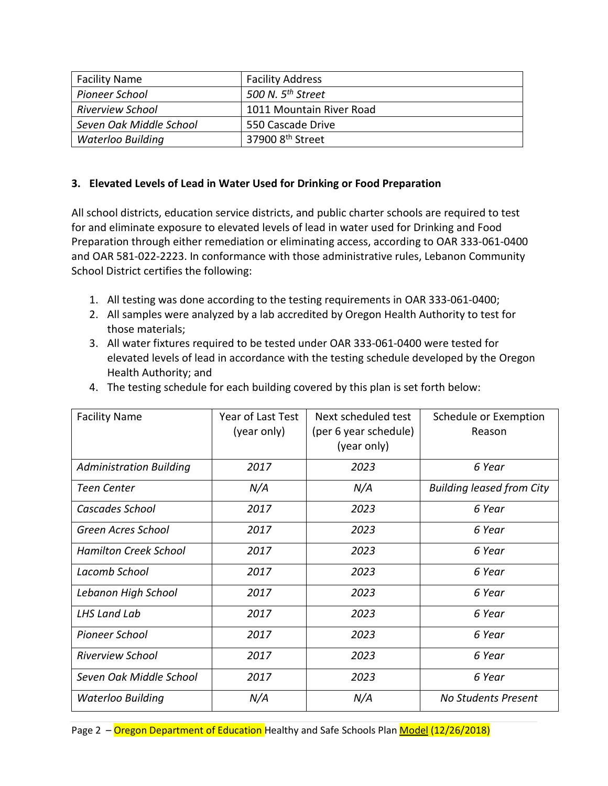| <b>Facility Name</b>    | <b>Facility Address</b>       |
|-------------------------|-------------------------------|
| Pioneer School          | 500 N. 5 <sup>th</sup> Street |
| <b>Riverview School</b> | 1011 Mountain River Road      |
| Seven Oak Middle School | 550 Cascade Drive             |
| Waterloo Building       | 37900 8 <sup>th</sup> Street  |

#### **3. Elevated Levels of Lead in Water Used for Drinking or Food Preparation**

All school districts, education service districts, and public charter schools are required to test for and eliminate exposure to elevated levels of lead in water used for Drinking and Food Preparation through either remediation or eliminating access, according to OAR 333-061-0400 and OAR 581-022-2223. In conformance with those administrative rules, Lebanon Community School District certifies the following:

- 1. All testing was done according to the testing requirements in OAR 333-061-0400;
- 2. All samples were analyzed by a lab accredited by Oregon Health Authority to test for those materials;
- 3. All water fixtures required to be tested under OAR 333-061-0400 were tested for elevated levels of lead in accordance with the testing schedule developed by the Oregon Health Authority; and

| <b>Facility Name</b>           | Year of Last Test<br>(year only) | Next scheduled test<br>(per 6 year schedule)<br>(year only) | Schedule or Exemption<br>Reason  |
|--------------------------------|----------------------------------|-------------------------------------------------------------|----------------------------------|
| <b>Administration Building</b> | 2017                             | 2023                                                        | 6 Year                           |
| <b>Teen Center</b>             | N/A                              | N/A                                                         | <b>Building leased from City</b> |
| Cascades School                | 2017                             | 2023                                                        | 6 Year                           |
| Green Acres School             | 2017                             | 2023                                                        | 6 Year                           |
| <b>Hamilton Creek School</b>   | 2017                             | 2023                                                        | 6 Year                           |
| Lacomb School                  | 2017                             | 2023                                                        | 6 Year                           |
| Lebanon High School            | 2017                             | 2023                                                        | 6 Year                           |
| LHS Land Lab                   | 2017                             | 2023                                                        | 6 Year                           |
| <b>Pioneer School</b>          | 2017                             | 2023                                                        | 6 Year                           |
| <b>Riverview School</b>        | 2017                             | 2023                                                        | 6 Year                           |
| Seven Oak Middle School        | 2017                             | 2023                                                        | 6 Year                           |
| Waterloo Building              | N/A                              | N/A                                                         | No Students Present              |

4. The testing schedule for each building covered by this plan is set forth below: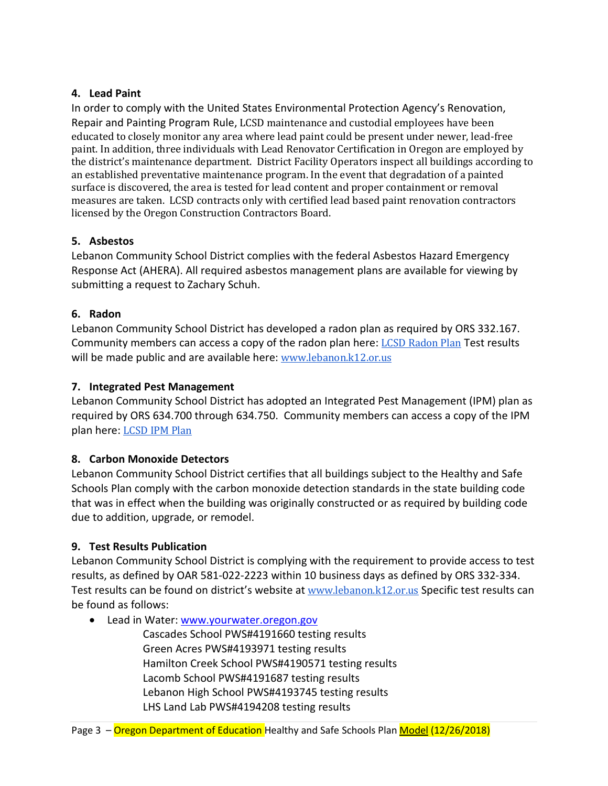#### **4. Lead Paint**

In order to comply with the United States Environmental Protection Agency's Renovation, Repair and Painting Program Rule, LCSD maintenance and custodial employees have been educated to closely monitor any area where lead paint could be present under newer, lead-free paint. In addition, three individuals with Lead Renovator Certification in Oregon are employed by the district's maintenance department. District Facility Operators inspect all buildings according to an established preventative maintenance program. In the event that degradation of a painted surface is discovered, the area is tested for lead content and proper containment or removal measures are taken. LCSD contracts only with certified lead based paint renovation contractors licensed by the Oregon Construction Contractors Board.

## **5. Asbestos**

Lebanon Community School District complies with the federal Asbestos Hazard Emergency Response Act (AHERA). All required asbestos management plans are available for viewing by submitting a request to Zachary Schuh.

## **6. Radon**

Lebanon Community School District has developed a radon plan as required by ORS 332.167. Community members can access a copy of the radon plan here: [LCSD Radon Plan](https://drive.google.com/open?id=0B5emxaUxVv63b3hHaFRPY0hnS0hxWVVRX0NaSVZUaENldnhN) Test results will be made public and are available here: [www.lebanon.k12.or.us](http://www.lebanon.k12.or.us/)

## **7. Integrated Pest Management**

Lebanon Community School District has adopted an Integrated Pest Management (IPM) plan as required by ORS 634.700 through 634.750. Community members can access a copy of the IPM plan here: [LCSD IPM Plan](https://drive.google.com/open?id=0B5emxaUxVv63Rmdjamx0MEtPckp4Vk9LUXJOdk1YWlp4RzdZ)

#### **8. Carbon Monoxide Detectors**

Lebanon Community School District certifies that all buildings subject to the Healthy and Safe Schools Plan comply with the carbon monoxide detection standards in the state building code that was in effect when the building was originally constructed or as required by building code due to addition, upgrade, or remodel.

# **9. Test Results Publication**

Lebanon Community School District is complying with the requirement to provide access to test results, as defined by OAR 581-022-2223 within 10 business days as defined by ORS 332-334. Test results can be found on district's website at [www.lebanon.k12.or.us](http://www.lebanon.k12.or.us/) Specific test results can be found as follows:

• Lead in Water: www.yourwater.oregon.gov

Cascades School PWS#4191660 testing results Green Acres PWS#4193971 testing results Hamilton Creek School PWS#4190571 testing results Lacomb School PWS#4191687 testing results Lebanon High School PWS#4193745 testing results LHS Land Lab PWS#4194208 testing results